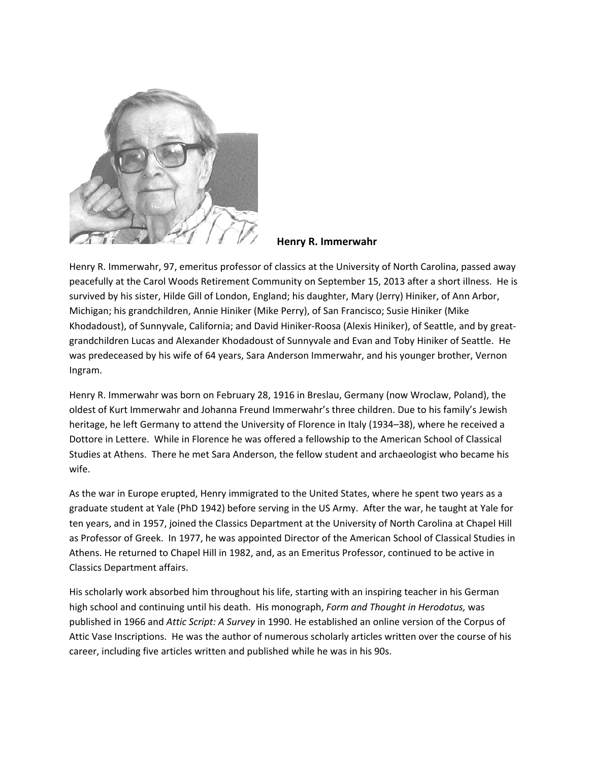

## **Henry R. Immerwahr**

Henry R. Immerwahr, 97, emeritus professor of classics at the University of North Carolina, passed away peacefully at the Carol Woods Retirement Community on September 15, 2013 after a short illness. He is survived by his sister, Hilde Gill of London, England; his daughter, Mary (Jerry) Hiniker, of Ann Arbor, Michigan; his grandchildren, Annie Hiniker (Mike Perry), of San Francisco; Susie Hiniker (Mike Khodadoust), of Sunnyvale, California; and David Hiniker-Roosa (Alexis Hiniker), of Seattle, and by greatgrandchildren Lucas and Alexander Khodadoust of Sunnyvale and Evan and Toby Hiniker of Seattle. He was predeceased by his wife of 64 years, Sara Anderson Immerwahr, and his younger brother, Vernon Ingram.

Henry R. Immerwahr was born on February 28, 1916 in Breslau, Germany (now Wroclaw, Poland), the oldest of Kurt Immerwahr and Johanna Freund Immerwahr's three children. Due to his family's Jewish heritage, he left Germany to attend the University of Florence in Italy (1934–38), where he received a Dottore in Lettere. While in Florence he was offered a fellowship to the American School of Classical Studies at Athens. There he met Sara Anderson, the fellow student and archaeologist who became his wife.

As the war in Europe erupted, Henry immigrated to the United States, where he spent two years as a graduate student at Yale (PhD 1942) before serving in the US Army. After the war, he taught at Yale for ten years, and in 1957, joined the Classics Department at the University of North Carolina at Chapel Hill as Professor of Greek. In 1977, he was appointed Director of the American School of Classical Studies in Athens. He returned to Chapel Hill in 1982, and, as an Emeritus Professor, continued to be active in Classics Department affairs.

His scholarly work absorbed him throughout his life, starting with an inspiring teacher in his German high school and continuing until his death. His monograph, *Form and Thought in Herodotus,* was published in 1966 and *Attic Script: A Survey* in 1990. He established an online version of the Corpus of Attic Vase Inscriptions. He was the author of numerous scholarly articles written over the course of his career, including five articles written and published while he was in his 90s.